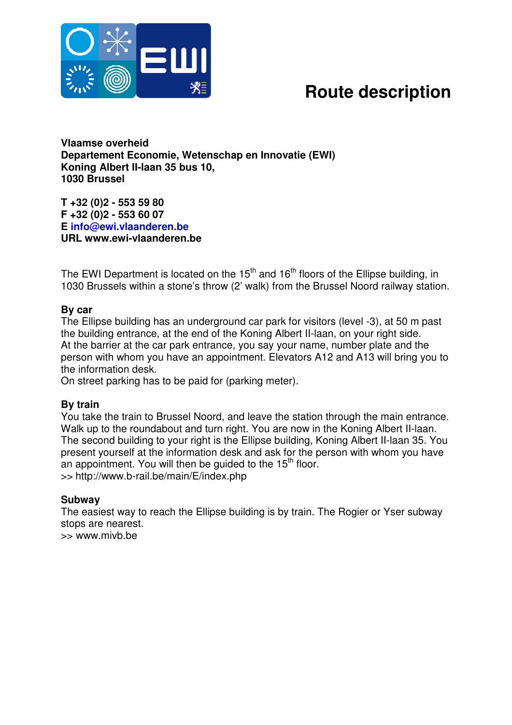

## **Route description**

**Vlaamse overheid Departement Economie, Wetenschap en Innovatie (EWI) Koning Albert II-laan 35 bus 10, 1030 Brussel**

**T +32 (0)2 - 553 59 80 F +32 (0)2 - 553 60 07 E info@ewi.vlaanderen.be URL www.ewi-vlaanderen.be**

The EWI Department is located on the 15<sup>th</sup> and 16<sup>th</sup> floors of the Ellipse building, in 1030 Brussels within a stone's throw (2' walk) from the Brussel Noord railway station.

### **By car**

The Ellipse building has an underground car park for visitors (level -3), at 50 m past the building entrance, at the end of the Koning Albert II-laan, on your right side. At the barrier at the car park entrance, you say your name, number plate and the person with whom you have an appointment. Elevators A12 and A13 will bring you to the information desk.

On street parking has to be paid for (parking meter).

#### **By train**

You take the train to Brussel Noord, and leave the station through the main entrance. Walk up to the roundabout and turn right. You are now in the Koning Albert II-laan. The second building to your right is the Ellipse building, Koning Albert II-laan 35. You present yourself at the information desk and ask for the person with whom you have an appointment. You will then be guided to the 15<sup>th</sup> floor. >> http://www.b-rail.be/main/E/index.php

#### **Subway**

The easiest way to reach the Ellipse building is by train. The Rogier or Yser subway stops are nearest. >> www.mivb.be